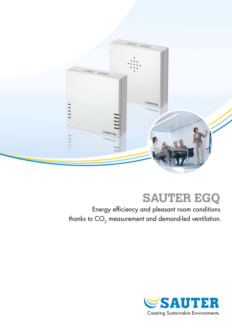

# **SAUTER EGQ**

Energy efficiency and pleasant room conditions thanks to  $CO<sub>2</sub>$  measurement and demand-led ventilation.

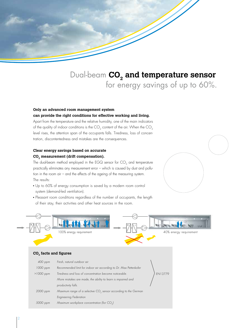

## Dual-beam **CO<sub>2</sub> and temperature sensor** for energy savings of up to 60%.

### **Only an advanced room management system**

#### **can provide the right conditions for effective working and living.**

Apart from the temperature and the relative humidity, one of the main indicators of the quality of indoor conditions is the  $CO<sub>2</sub>$  content of the air. When the  $CO<sub>2</sub>$ level rises, the attention span of the occupants falls. Tiredness, loss of concentration, discontentedness and mistakes are the consequences.

#### **Clear energy savings based on accurate CO2 measurement (drift compensation).**

The dual-beam method employed in the EGQ sensor for  $CO<sub>2</sub>$  and temperature practically eliminates any measurement error – which is caused by dust and pollution in the room air – and the effects of the ageing of the measuring system. The results:

- Up to 60% of energy consumption is saved by a modern room control system (demand-led ventilation).
- Pleasant room conditions regardless of the number of occupants, the length of their stay, their activities and other heat sources in the room.



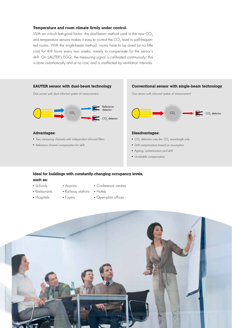#### **Temperature and room climate firmly under control.**

With an in-built feel-good factor: the dual-beam method used in the new CO<sub>2</sub> and temperature sensors makes it easy to control the  $CO<sub>2</sub>$  level in well-frequented rooms. With the single-beam method, rooms have to be aired (at no little cost) for 4-8 hours every two weeks, merely to compensate for the sensor's drift. On SAUTER's EGQ, the measuring signal is calibrated continuously; this is done automatically and at no cost, and is unaffected by ventilation intervals.



#### **Ideal for buildings with constantly-changing occupancy levels,**

#### **such as:**

• Schools

• Conference centres

- Restaurants
- Railway stations Hotels

Airports

- 
- Hospitals
- Foyers
- Open-plan offices